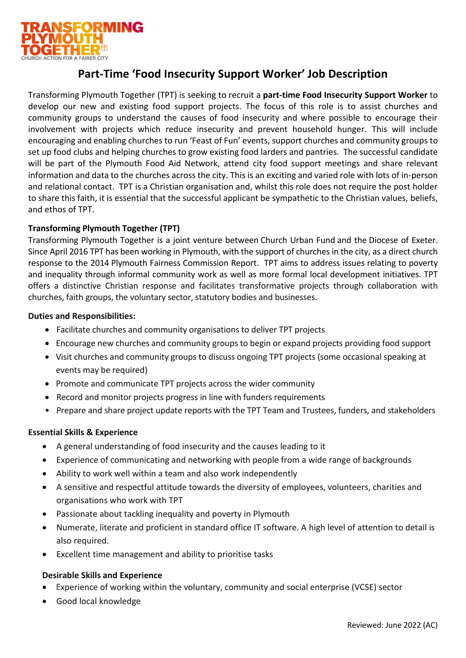

# **Part-Time 'Food Insecurity Support Worker' Job Description**

Transforming Plymouth Together (TPT) is seeking to recruit a **part-time Food Insecurity Support Worker** to develop our new and existing food support projects. The focus of this role is to assist churches and community groups to understand the causes of food insecurity and where possible to encourage their involvement with projects which reduce insecurity and prevent household hunger. This will include encouraging and enabling churches to run 'Feast of Fun' events, support churches and community groups to set up food clubs and helping churches to grow existing food larders and pantries. The successful candidate will be part of the Plymouth Food Aid Network, attend city food support meetings and share relevant information and data to the churches across the city. This is an exciting and varied role with lots of in-person and relational contact. TPT is a Christian organisation and, whilst this role does not require the post holder to share this faith, it is essential that the successful applicant be sympathetic to the Christian values, beliefs, and ethos of TPT.

## **Transforming Plymouth Together (TPT)**

Transforming Plymouth Together is a joint venture between [Church Urban Fund](https://www.cuf.org.uk/) and the [Diocese of Exeter.](https://exeter.anglican.org/) Since April 2016 TPT has been working in Plymouth, with the support of churches in the city, as a direct church response to the 2014 [Plymouth Fairness Commission Report.](http://web.plymouth.gov.uk/fairnesscommission) TPT aims to address issues relating to poverty and inequality through informal community work as well as more formal local development initiatives. TPT offers a distinctive Christian response and facilitates transformative projects through collaboration with churches, faith groups, the voluntary sector, statutory bodies and businesses.

### **Duties and Responsibilities:**

- Facilitate churches and community organisations to deliver TPT projects
- Encourage new churches and community groups to begin or expand projects providing food support
- Visit churches and community groups to discuss ongoing TPT projects (some occasional speaking at events may be required)
- Promote and communicate TPT projects across the wider community
- Record and monitor projects progress in line with funders requirements
- Prepare and share project update reports with the TPT Team and Trustees, funders, and stakeholders

### **Essential Skills & Experience**

- A general understanding of food insecurity and the causes leading to it
- Experience of communicating and networking with people from a wide range of backgrounds
- Ability to work well within a team and also work independently
- A sensitive and respectful attitude towards the diversity of employees, volunteers, charities and organisations who work with TPT
- Passionate about tackling inequality and poverty in Plymouth
- Numerate, literate and proficient in standard office IT software. A high level of attention to detail is also required.
- Excellent time management and ability to prioritise tasks

### **Desirable Skills and Experience**

- Experience of working within the voluntary, community and social enterprise (VCSE) sector
- Good local knowledge